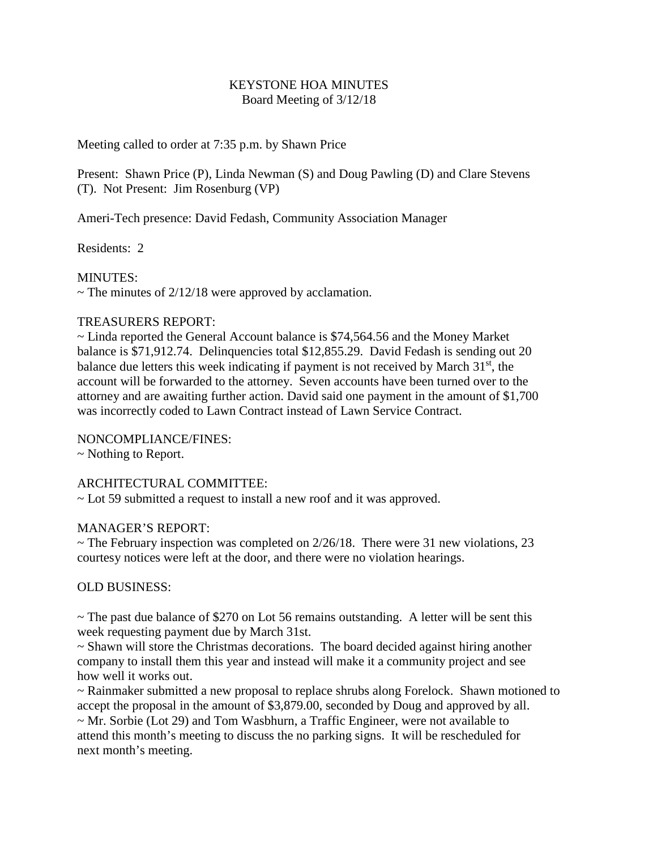## KEYSTONE HOA MINUTES Board Meeting of 3/12/18

Meeting called to order at 7:35 p.m. by Shawn Price

Present: Shawn Price (P), Linda Newman (S) and Doug Pawling (D) and Clare Stevens (T). Not Present: Jim Rosenburg (VP)

Ameri-Tech presence: David Fedash, Community Association Manager

Residents: 2

MINUTES:

 $\sim$  The minutes of 2/12/18 were approved by acclamation.

## TREASURERS REPORT:

~ Linda reported the General Account balance is \$74,564.56 and the Money Market balance is \$71,912.74. Delinquencies total \$12,855.29. David Fedash is sending out 20 balance due letters this week indicating if payment is not received by March  $31<sup>st</sup>$ , the account will be forwarded to the attorney. Seven accounts have been turned over to the attorney and are awaiting further action. David said one payment in the amount of \$1,700 was incorrectly coded to Lawn Contract instead of Lawn Service Contract.

NONCOMPLIANCE/FINES:

~ Nothing to Report.

ARCHITECTURAL COMMITTEE:

~ Lot 59 submitted a request to install a new roof and it was approved.

## MANAGER'S REPORT:

 $\sim$  The February inspection was completed on 2/26/18. There were 31 new violations, 23 courtesy notices were left at the door, and there were no violation hearings.

OLD BUSINESS:

 $\sim$  The past due balance of \$270 on Lot 56 remains outstanding. A letter will be sent this week requesting payment due by March 31st.

~ Shawn will store the Christmas decorations. The board decided against hiring another company to install them this year and instead will make it a community project and see how well it works out.

~ Rainmaker submitted a new proposal to replace shrubs along Forelock. Shawn motioned to accept the proposal in the amount of \$3,879.00, seconded by Doug and approved by all. ~ Mr. Sorbie (Lot 29) and Tom Wasbhurn, a Traffic Engineer, were not available to attend this month's meeting to discuss the no parking signs. It will be rescheduled for next month's meeting.